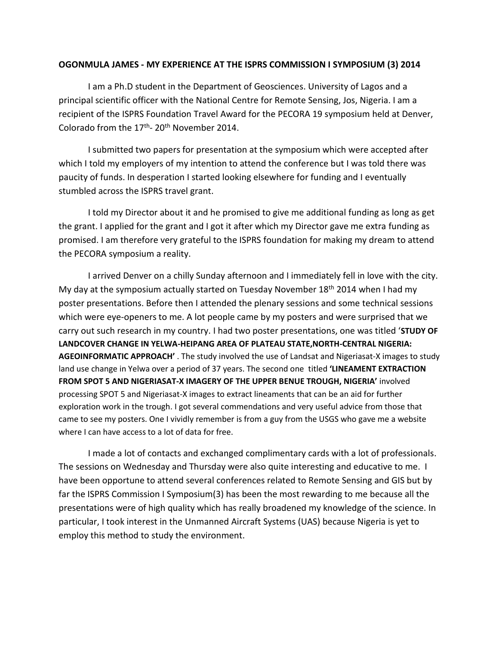## **OGONMULA JAMES - MY EXPERIENCE AT THE ISPRS COMMISSION I SYMPOSIUM (3) 2014**

I am a Ph.D student in the Department of Geosciences. University of Lagos and a principal scientific officer with the National Centre for Remote Sensing, Jos, Nigeria. I am a recipient of the ISPRS Foundation Travel Award for the PECORA 19 symposium held at Denver, Colorado from the  $17<sup>th</sup>$ - 20<sup>th</sup> November 2014.

I submitted two papers for presentation at the symposium which were accepted after which I told my employers of my intention to attend the conference but I was told there was paucity of funds. In desperation I started looking elsewhere for funding and I eventually stumbled across the ISPRS travel grant.

I told my Director about it and he promised to give me additional funding as long as get the grant. I applied for the grant and I got it after which my Director gave me extra funding as promised. I am therefore very grateful to the ISPRS foundation for making my dream to attend the PECORA symposium a reality.

I arrived Denver on a chilly Sunday afternoon and I immediately fell in love with the city. My day at the symposium actually started on Tuesday November 18<sup>th</sup> 2014 when I had my poster presentations. Before then I attended the plenary sessions and some technical sessions which were eye-openers to me. A lot people came by my posters and were surprised that we carry out such research in my country. I had two poster presentations, one was titled '**STUDY OF LANDCOVER CHANGE IN YELWA-HEIPANG AREA OF PLATEAU STATE,NORTH-CENTRAL NIGERIA: AGEOINFORMATIC APPROACH'** . The study involved the use of Landsat and Nigeriasat-X images to study land use change in Yelwa over a period of 37 years. The second one titled **'LINEAMENT EXTRACTION FROM SPOT 5 AND NIGERIASAT-X IMAGERY OF THE UPPER BENUE TROUGH, NIGERIA'** involved processing SPOT 5 and Nigeriasat-X images to extract lineaments that can be an aid for further exploration work in the trough. I got several commendations and very useful advice from those that came to see my posters. One I vividly remember is from a guy from the USGS who gave me a website where I can have access to a lot of data for free.

I made a lot of contacts and exchanged complimentary cards with a lot of professionals. The sessions on Wednesday and Thursday were also quite interesting and educative to me. I have been opportune to attend several conferences related to Remote Sensing and GIS but by far the ISPRS Commission I Symposium(3) has been the most rewarding to me because all the presentations were of high quality which has really broadened my knowledge of the science. In particular, I took interest in the Unmanned Aircraft Systems (UAS) because Nigeria is yet to employ this method to study the environment.